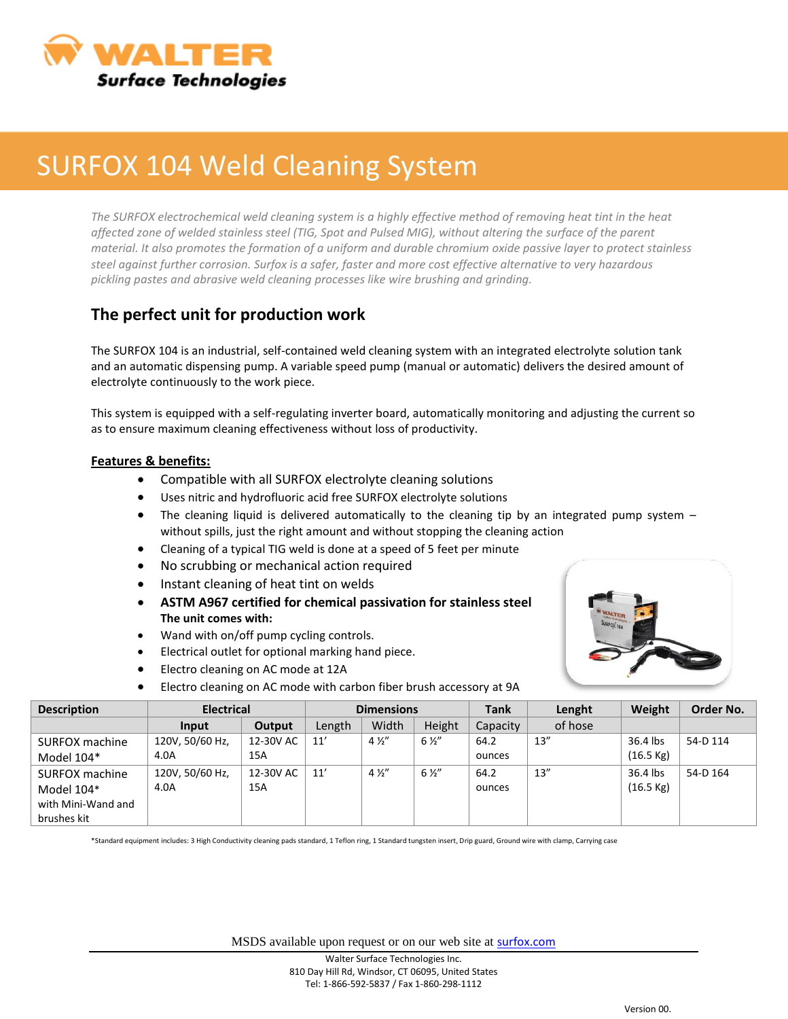

## SURFOX 104 Weld Cleaning System

*The SURFOX electrochemical weld cleaning system is a highly effective method of removing heat tint in the heat affected zone of welded stainless steel (TIG, Spot and Pulsed MIG), without altering the surface of the parent material. It also promotes the formation of a uniform and durable chromium oxide passive layer to protect stainless steel against further corrosion. Surfox is a safer, faster and more cost effective alternative to very hazardous pickling pastes and abrasive weld cleaning processes like wire brushing and grinding.*

## **The perfect unit for production work**

The SURFOX 104 is an industrial, self-contained weld cleaning system with an integrated electrolyte solution tank and an automatic dispensing pump. A variable speed pump (manual or automatic) delivers the desired amount of electrolyte continuously to the work piece.

This system is equipped with a self-regulating inverter board, automatically monitoring and adjusting the current so as to ensure maximum cleaning effectiveness without loss of productivity.

## **Features & benefits:**

- Compatible with all SURFOX electrolyte cleaning solutions
- Uses nitric and hydrofluoric acid free SURFOX electrolyte solutions
- The cleaning liquid is delivered automatically to the cleaning tip by an integrated pump system without spills, just the right amount and without stopping the cleaning action
- Cleaning of a typical TIG weld is done at a speed of 5 feet per minute
- No scrubbing or mechanical action required
- Instant cleaning of heat tint on welds
- **ASTM A967 certified for chemical passivation for stainless steel The unit comes with:**
- Wand with on/off pump cycling controls.
- Electrical outlet for optional marking hand piece.
- Electro cleaning on AC mode at 12A
- Electro cleaning on AC mode with carbon fiber brush accessory at 9A



| <b>Description</b> | <b>Electrical</b> |           | <b>Dimensions</b> |                |                | <b>Tank</b> | Lenght  | Weight              | Order No. |
|--------------------|-------------------|-----------|-------------------|----------------|----------------|-------------|---------|---------------------|-----------|
|                    | Input             | Output    | Length            | Width          | Height         | Capacity    | of hose |                     |           |
| SURFOX machine     | 120V, 50/60 Hz,   | 12-30V AC | 11'               | $4\frac{1}{2}$ | $6\frac{1}{2}$ | 64.2        | 13''    | 36.4 lbs            | 54-D 114  |
| Model $104*$       | 4.0A              | 15A       |                   |                |                | ounces      |         | $(16.5 \text{ kg})$ |           |
| SURFOX machine     | 120V, 50/60 Hz,   | 12-30V AC | 11'               | $4\frac{1}{2}$ | $6\frac{1}{2}$ | 64.2        | 13''    | 36.4 lbs            | 54-D 164  |
| Model 104*         | 4.0A              | 15A       |                   |                |                | ounces      |         | $(16.5 \text{ kg})$ |           |
| with Mini-Wand and |                   |           |                   |                |                |             |         |                     |           |
| brushes kit        |                   |           |                   |                |                |             |         |                     |           |

\*Standard equipment includes: 3 High Conductivity cleaning pads standard, 1 Teflon ring, 1 Standard tungsten insert, Drip guard, Ground wire with clamp, Carrying case

MSDS available upon request or on our web site at **[surfox.com](http://www.surfox.com/)**